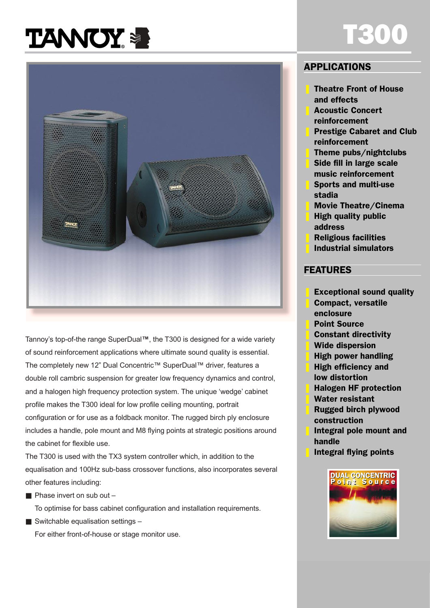# **TANNOY &**



Tannoy's top-of-the range SuperDual<sup>™</sup>, the T300 is designed for a wide variety of sound reinforcement applications where ultimate sound quality is essential. The completely new 12" Dual Concentric™ SuperDual™ driver, features a double roll cambric suspension for greater low frequency dynamics and control, and a halogen high frequency protection system. The unique 'wedge' cabinet profile makes the T300 ideal for low profile ceiling mounting, portrait configuration or for use as a foldback monitor. The rugged birch ply enclosure includes a handle, pole mount and M8 flying points at strategic positions around the cabinet for flexible use.

The T300 is used with the TX3 system controller which, in addition to the equalisation and 100Hz sub-bass crossover functions, also incorporates several other features including:

 $\blacksquare$  Phase invert on sub out  $\blacksquare$ 

To optimise for bass cabinet configuration and installation requirements.

 $\blacksquare$  Switchable equalisation settings  $\blacksquare$ For either front-of-house or stage monitor use.

### APPLICATIONS

❚ Theatre Front of House and effects

T300

- ❚ Acoustic Concert reinforcement
- **Prestige Cabaret and Club** reinforcement
- ❚ Theme pubs/nightclubs
- Side fill in large scale music reinforcement
- ❚ Sports and multi-use stadia
- ❚ Movie Theatre/Cinema
- ❚ High quality public address
- ❚ Religious facilities
- ❚ Industrial simulators

#### FEATURES

- Exceptional sound quality
- ❚ Compact, versatile enclosure
- **Point Source**
- ❚ Constant directivity
- Wide dispersion
- ❚ High power handling
- ❚ High efficiency and low distortion
- ❚ Halogen HF protection
- Water resistant
- ❚ Rugged birch plywood construction
- Integral pole mount and handle
- ❚ Integral flying points